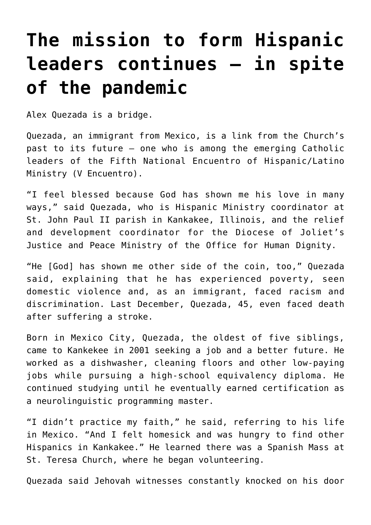## **[The mission to form Hispanic](https://www.osvnews.com/2021/09/20/the-mission-to-form-hispanic-leaders-continues-in-spite-of-the-pandemic/) [leaders continues — in spite](https://www.osvnews.com/2021/09/20/the-mission-to-form-hispanic-leaders-continues-in-spite-of-the-pandemic/) [of the pandemic](https://www.osvnews.com/2021/09/20/the-mission-to-form-hispanic-leaders-continues-in-spite-of-the-pandemic/)**

Alex Quezada is a bridge.

Quezada, an immigrant from Mexico, is a link from the Church's past to its future — one who is among the emerging Catholic leaders of the Fifth National Encuentro of Hispanic/Latino Ministry (V Encuentro).

"I feel blessed because God has shown me his love in many ways," said Quezada, who is Hispanic Ministry coordinator at St. John Paul II parish in Kankakee, Illinois, and the relief and development coordinator for the Diocese of Joliet's Justice and Peace Ministry of the Office for Human Dignity.

"He [God] has shown me other side of the coin, too," Quezada said, explaining that he has experienced poverty, seen domestic violence and, as an immigrant, faced racism and discrimination. Last December, Quezada, 45, even faced death after suffering a stroke.

Born in Mexico City, Quezada, the oldest of five siblings, came to Kankekee in 2001 seeking a job and a better future. He worked as a dishwasher, cleaning floors and other low-paying jobs while pursuing a high-school equivalency diploma. He continued studying until he eventually earned certification as a neurolinguistic programming master.

"I didn't practice my faith," he said, referring to his life in Mexico. "And I felt homesick and was hungry to find other Hispanics in Kankakee." He learned there was a Spanish Mass at St. Teresa Church, where he began volunteering.

Quezada said Jehovah witnesses constantly knocked on his door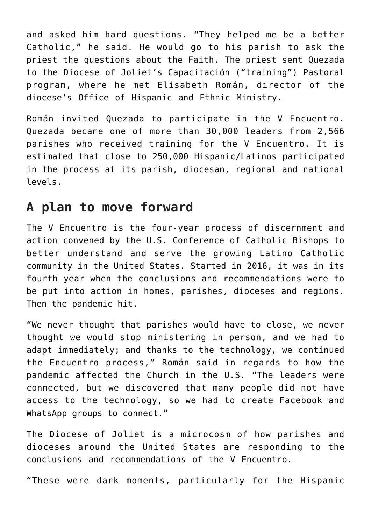and asked him hard questions. "They helped me be a better Catholic," he said. He would go to his parish to ask the priest the questions about the Faith. The priest sent Quezada to the Diocese of Joliet's Capacitación ("training") Pastoral program, where he met Elisabeth Román, director of the diocese's Office of Hispanic and Ethnic Ministry.

Román invited Quezada to participate in the V Encuentro. Quezada became one of more than 30,000 leaders from 2,566 parishes who received training for the V Encuentro. It is estimated that close to 250,000 Hispanic/Latinos participated in the process at its parish, diocesan, regional and national levels.

## **A plan to move forward**

The V Encuentro is the four-year process of discernment and action convened by the U.S. Conference of Catholic Bishops to better understand and serve the growing Latino Catholic community in the United States. Started in 2016, it was in its fourth year when the conclusions and recommendations were to be put into action in homes, parishes, dioceses and regions. Then the pandemic hit.

"We never thought that parishes would have to close, we never thought we would stop ministering in person, and we had to adapt immediately; and thanks to the technology, we continued the Encuentro process," Román said in regards to how the pandemic affected the Church in the U.S. "The leaders were connected, but we discovered that many people did not have access to the technology, so we had to create Facebook and WhatsApp groups to connect."

The Diocese of Joliet is a microcosm of how parishes and dioceses around the United States are responding to the conclusions and recommendations of the V Encuentro.

"These were dark moments, particularly for the Hispanic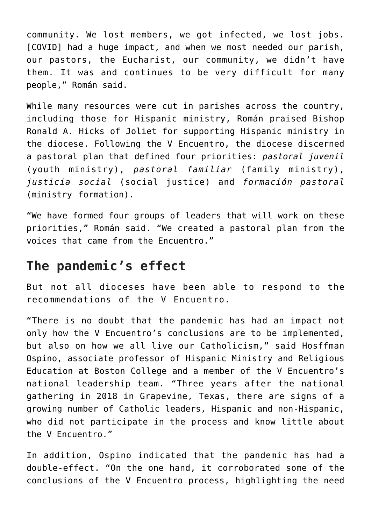community. We lost members, we got infected, we lost jobs. [COVID] had a huge impact, and when we most needed our parish, our pastors, the Eucharist, our community, we didn't have them. It was and continues to be very difficult for many people," Román said.

While many resources were cut in parishes across the country, including those for Hispanic ministry, Román praised Bishop Ronald A. Hicks of Joliet for supporting Hispanic ministry in the diocese. Following the V Encuentro, the diocese discerned a pastoral plan that defined four priorities: *pastoral juvenil* (youth ministry), *pastoral familiar* (family ministry), *justicia social* (social justice) and *formación pastoral* (ministry formation).

"We have formed four groups of leaders that will work on these priorities," Román said. "We created a pastoral plan from the voices that came from the Encuentro."

## **The pandemic's effect**

But not all dioceses have been able to respond to the recommendations of the V Encuentro.

"There is no doubt that the pandemic has had an impact not only how the V Encuentro's conclusions are to be implemented, but also on how we all live our Catholicism," said Hosffman Ospino, associate professor of Hispanic Ministry and Religious Education at Boston College and a member of the V Encuentro's national leadership team. "Three years after the national gathering in 2018 in Grapevine, Texas, there are signs of a growing number of Catholic leaders, Hispanic and non-Hispanic, who did not participate in the process and know little about the V Encuentro."

In addition, Ospino indicated that the pandemic has had a double-effect. "On the one hand, it corroborated some of the conclusions of the V Encuentro process, highlighting the need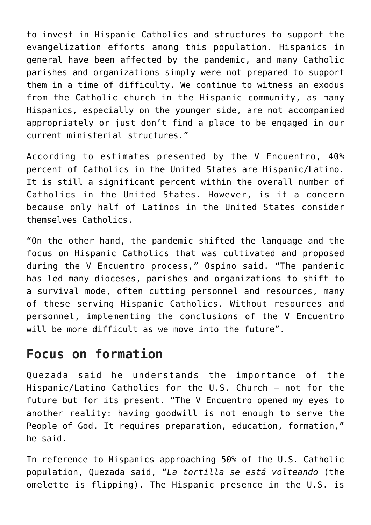to invest in Hispanic Catholics and structures to support the evangelization efforts among this population. Hispanics in general have been affected by the pandemic, and many Catholic parishes and organizations simply were not prepared to support them in a time of difficulty. We continue to witness an exodus from the Catholic church in the Hispanic community, as many Hispanics, especially on the younger side, are not accompanied appropriately or just don't find a place to be engaged in our current ministerial structures."

According to estimates presented by the V Encuentro, 40% percent of Catholics in the United States are Hispanic/Latino. It is still a significant percent within the overall number of Catholics in the United States. However, is it a concern because only half of Latinos in the United States consider themselves Catholics.

"On the other hand, the pandemic shifted the language and the focus on Hispanic Catholics that was cultivated and proposed during the V Encuentro process," Ospino said. "The pandemic has led many dioceses, parishes and organizations to shift to a survival mode, often cutting personnel and resources, many of these serving Hispanic Catholics. Without resources and personnel, implementing the conclusions of the V Encuentro will be more difficult as we move into the future".

## **Focus on formation**

Quezada said he understands the importance of the Hispanic/Latino Catholics for the U.S. Church — not for the future but for its present. "The V Encuentro opened my eyes to another reality: having goodwill is not enough to serve the People of God. It requires preparation, education, formation," he said.

In reference to Hispanics approaching 50% of the U.S. Catholic population, Quezada said, "*La tortilla se está volteando* (the omelette is flipping). The Hispanic presence in the U.S. is